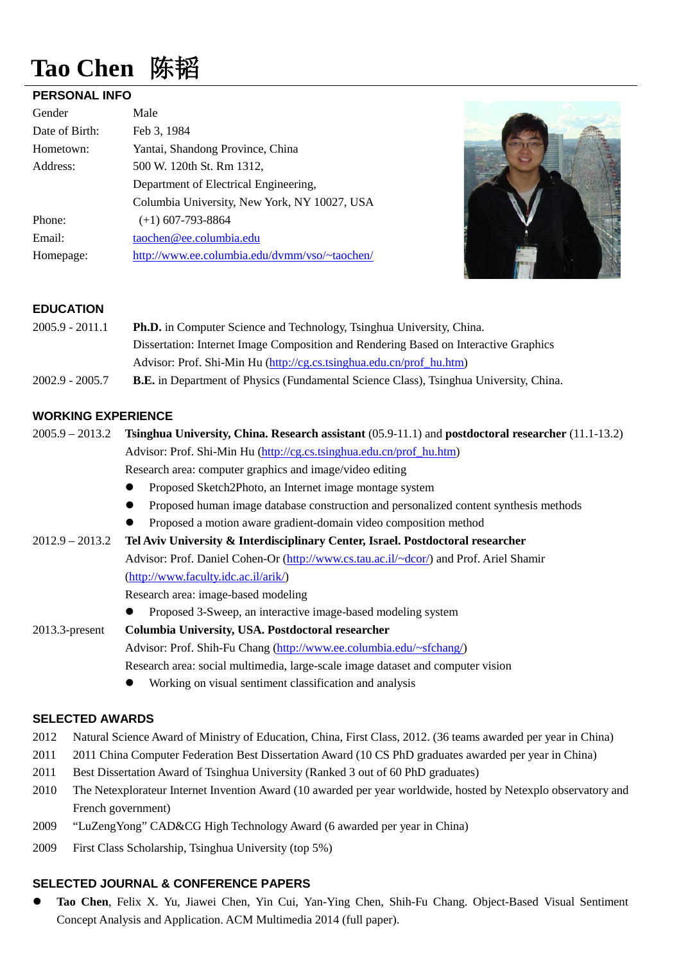# **Tao Chen** 陈韬

#### **PERSONAL INFO**

| Gender         | Male                                          |
|----------------|-----------------------------------------------|
| Date of Birth: | Feb 3, 1984                                   |
| Hometown:      | Yantai, Shandong Province, China              |
| Address:       | 500 W. 120th St. Rm 1312,                     |
|                | Department of Electrical Engineering,         |
|                | Columbia University, New York, NY 10027, USA  |
| Phone:         | $(+1)$ 607-793-8864                           |
| Email:         | taochen@ee.columbia.edu                       |
| Homepage:      | http://www.ee.columbia.edu/dvmm/vso/~taochen/ |
|                |                                               |



## **EDUCATION**

| $2005.9 - 2011.1$ | <b>Ph.D.</b> in Computer Science and Technology, Tsinghua University, China.                  |
|-------------------|-----------------------------------------------------------------------------------------------|
|                   | Dissertation: Internet Image Composition and Rendering Based on Interactive Graphics          |
|                   | Advisor: Prof. Shi-Min Hu (http://cg.cs.tsinghua.edu.cn/prof hu.htm)                          |
| $2002.9 - 2005.7$ | <b>B.E.</b> in Department of Physics (Fundamental Science Class), Tsinghua University, China. |

#### **WORKING EXPERIENCE**

2005.9 – 2013.2 **Tsinghua University, China. Research assistant** (05.9-11.1) and **postdoctoral researcher** (11.1-13.2) Advisor: Prof. Shi-Min Hu [\(http://cg.cs.tsinghua.edu.cn/prof\\_hu.htm\)](http://cg.cs.tsinghua.edu.cn/prof_hu.htm) Research area: computer graphics and image/video editing ● Proposed Sketch2Photo, an Internet image montage system Proposed human image database construction and personalized content synthesis methods Proposed a motion aware gradient-domain video composition method **Tel Aviv University & Interdisciplinary Center, Israel. Postdoctoral researcher** Advisor: Prof. Daniel Cohen-Or [\(http://www.cs.tau.ac.il/~dcor/\)](http://www.cs.tau.ac.il/%7Edcor/) and Prof. Ariel Shamir [\(http://www.faculty.idc.ac.il/arik/\)](http://www.faculty.idc.ac.il/arik/site/index.asp) Research area: image-based modeling Proposed 3-Sweep, an interactive image-based modeling system **Columbia University, USA. Postdoctoral researcher** Advisor: Prof. Shih-Fu Chang [\(http://www.ee.columbia.edu/~sfchang/\)](http://www.ee.columbia.edu/%7Esfchang/) Research area: social multimedia, large-scale image dataset and computer vision Working on visual sentiment classification and analysis 2012.9 – 2013.2 2013.3-present

## **SELECTED AWARDS**

- 2012 Natural Science Award of Ministry of Education, China, First Class, 2012. (36 teams awarded per year in China)
- 2011 2011 China Computer Federation Best Dissertation Award (10 CS PhD graduates awarded per year in China)
- 2011 Best Dissertation Award of Tsinghua University (Ranked 3 out of 60 PhD graduates)
- 2010 The Netexplorateur Internet Invention Award (10 awarded per year worldwide, hosted by Netexplo observatory and French government)
- 2009 "LuZengYong" CAD&CG High Technology Award (6 awarded per year in China)
- 2009 First Class Scholarship, Tsinghua University (top 5%)

#### **SELECTED JOURNAL & CONFERENCE PAPERS**

 **Tao Chen**, Felix X. Yu, Jiawei Chen, Yin Cui, Yan-Ying Chen, Shih-Fu Chang. Object-Based Visual Sentiment Concept Analysis and Application. ACM Multimedia 2014 (full paper).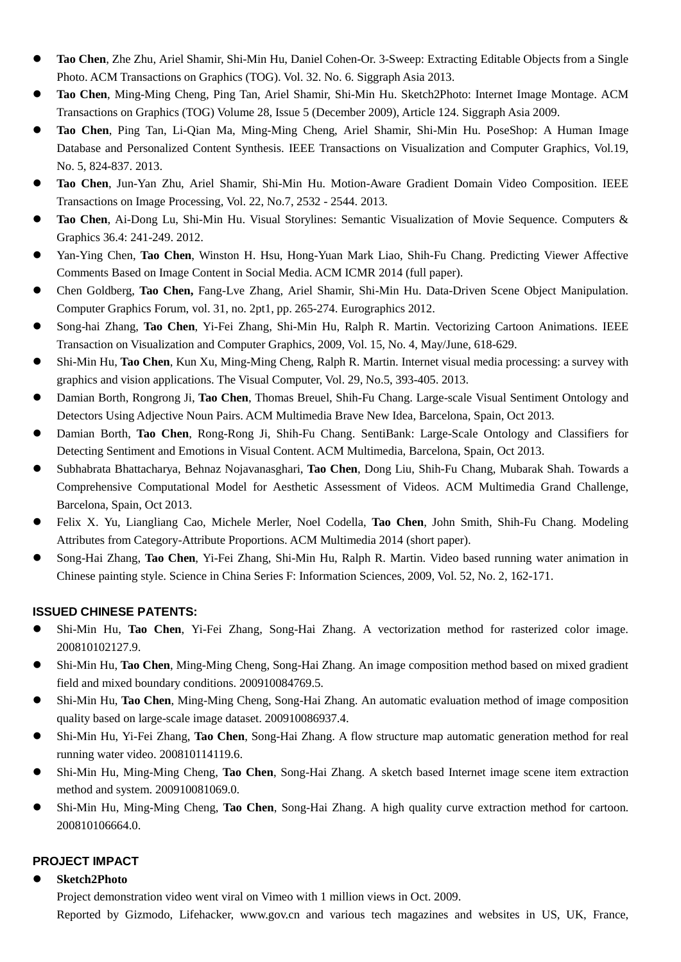- **Tao Chen**, Zhe Zhu, Ariel Shamir, Shi-Min Hu, Daniel Cohen-Or. 3-Sweep: Extracting Editable Objects from a Single Photo. ACM Transactions on Graphics (TOG). Vol. 32. No. 6. Siggraph Asia 2013.
- **Tao Chen**, Ming-Ming Cheng, Ping Tan, Ariel Shamir, Shi-Min Hu. Sketch2Photo: Internet Image Montage. ACM Transactions on Graphics (TOG) Volume 28, Issue 5 (December 2009), Article 124. Siggraph Asia 2009.
- **Tao Chen**, Ping Tan, Li-Qian Ma, Ming-Ming Cheng, Ariel Shamir, Shi-Min Hu. PoseShop: A Human Image Database and Personalized Content Synthesis. IEEE Transactions on Visualization and Computer Graphics, Vol.19, No. 5, 824-837. 2013.
- **Tao Chen**, Jun-Yan Zhu, Ariel Shamir, Shi-Min Hu. Motion-Aware Gradient Domain Video Composition. IEEE Transactions on Image Processing, Vol. 22, No.7, 2532 - 2544. 2013.
- **Tao Chen**, Ai-Dong Lu, Shi-Min Hu. Visual Storylines: Semantic Visualization of Movie Sequence. Computers & Graphics 36.4: 241-249. 2012.
- Yan-Ying Chen, **Tao Chen**, Winston H. Hsu, Hong-Yuan Mark Liao, Shih-Fu Chang. Predicting Viewer Affective Comments Based on Image Content in Social Media. ACM ICMR 2014 (full paper).
- Chen Goldberg, **Tao Chen,** Fang-Lve Zhang, Ariel Shamir, Shi-Min Hu. Data-Driven Scene Object Manipulation. Computer Graphics Forum, vol. 31, no. 2pt1, pp. 265-274. Eurographics 2012.
- Song-hai Zhang, **Tao Chen**, Yi-Fei Zhang, Shi-Min Hu, Ralph R. Martin. Vectorizing Cartoon Animations. IEEE Transaction on Visualization and Computer Graphics, 2009, Vol. 15, No. 4, May/June, 618-629.
- Shi-Min Hu, **Tao Chen**, Kun Xu, Ming-Ming Cheng, Ralph R. Martin. Internet visual media processing: a survey with graphics and vision applications. The Visual Computer, Vol. 29, No.5, 393-405. 2013.
- Damian Borth, Rongrong Ji, **Tao Chen**, Thomas Breuel, Shih-Fu Chang. Large-scale Visual Sentiment Ontology and Detectors Using Adjective Noun Pairs. ACM Multimedia Brave New Idea, Barcelona, Spain, Oct 2013.
- Damian Borth, **Tao Chen**, Rong-Rong Ji, Shih-Fu Chang. SentiBank: Large-Scale Ontology and Classifiers for Detecting Sentiment and Emotions in Visual Content. ACM Multimedia, Barcelona, Spain, Oct 2013.
- Subhabrata Bhattacharya, Behnaz Nojavanasghari, **Tao Chen**, Dong Liu, Shih-Fu Chang, Mubarak Shah. Towards a Comprehensive Computational Model for Aesthetic Assessment of Videos. ACM Multimedia Grand Challenge, Barcelona, Spain, Oct 2013.
- Felix X. Yu, Liangliang Cao, Michele Merler, Noel Codella, **Tao Chen**, John Smith, Shih-Fu Chang. Modeling Attributes from Category-Attribute Proportions. ACM Multimedia 2014 (short paper).
- Song-Hai Zhang, **Tao Chen**, Yi-Fei Zhang, Shi-Min Hu, Ralph R. Martin. Video based running water animation in Chinese painting style. Science in China Series F: Information Sciences, 2009, Vol. 52, No. 2, 162-171.

#### **ISSUED CHINESE PATENTS:**

- Shi-Min Hu, **Tao Chen**, Yi-Fei Zhang, Song-Hai Zhang. A vectorization method for rasterized color image. 200810102127.9.
- Shi-Min Hu, **Tao Chen**, Ming-Ming Cheng, Song-Hai Zhang. An image composition method based on mixed gradient field and mixed boundary conditions. 200910084769.5.
- Shi-Min Hu, **Tao Chen**, Ming-Ming Cheng, Song-Hai Zhang. An automatic evaluation method of image composition quality based on large-scale image dataset. 200910086937.4.
- Shi-Min Hu, Yi-Fei Zhang, **Tao Chen**, Song-Hai Zhang. A flow structure map automatic generation method for real running water video. 200810114119.6.
- Shi-Min Hu, Ming-Ming Cheng, **Tao Chen**, Song-Hai Zhang. A sketch based Internet image scene item extraction method and system. 200910081069.0.
- Shi-Min Hu, Ming-Ming Cheng, **Tao Chen**, Song-Hai Zhang. A high quality curve extraction method for cartoon. 200810106664.0.

#### **PROJECT IMPACT**

#### **Sketch2Photo**

Project demonstration video went viral on Vimeo with 1 million views in Oct. 2009. Reported by Gizmodo, Lifehacker, www.gov.cn and various tech magazines and websites in US, UK, France,